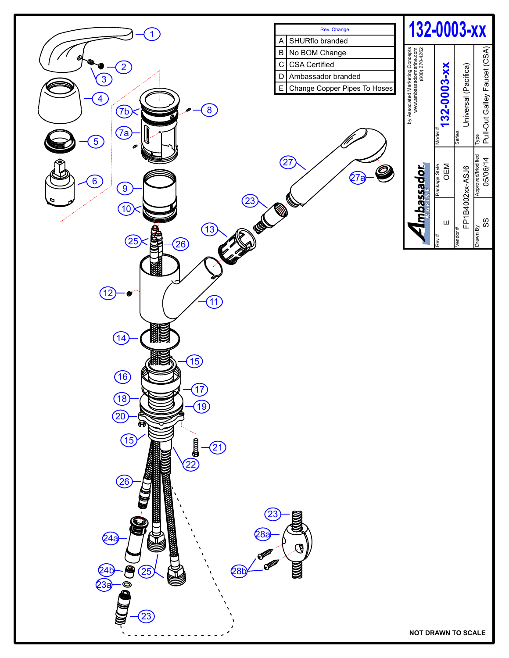